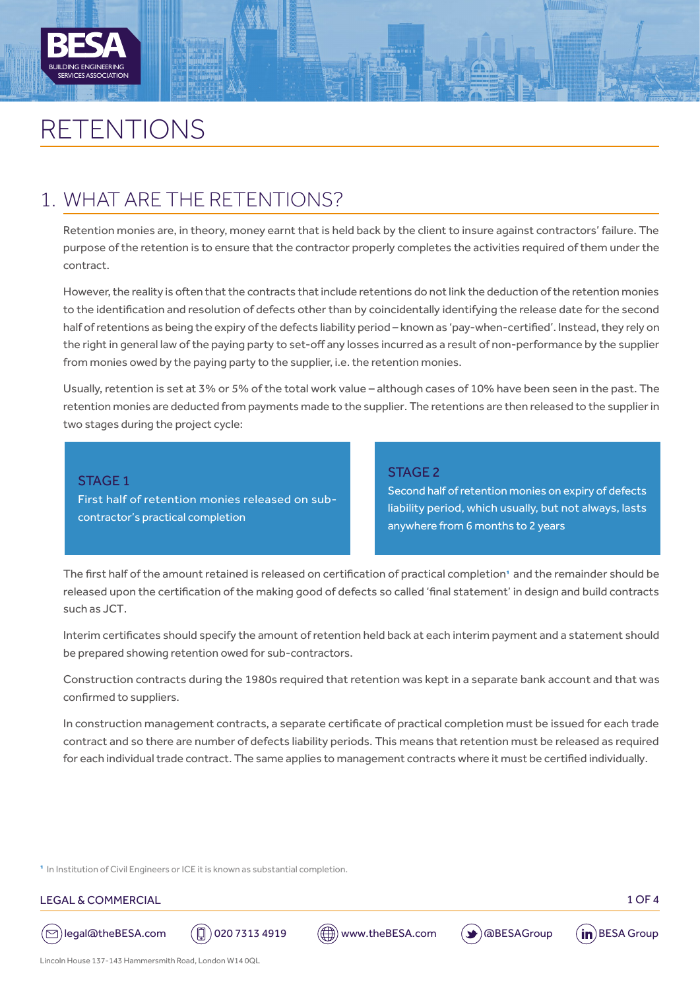

# RETENTIONS

# 1. WHAT ARE THE RETENTIONS?

Retention monies are, in theory, money earnt that is held back by the client to insure against contractors' failure. The purpose of the retention is to ensure that the contractor properly completes the activities required of them under the contract.

However, the reality is often that the contracts that include retentions do not link the deduction of the retention monies to the identification and resolution of defects other than by coincidentally identifying the release date for the second half of retentions as being the expiry of the defects liability period – known as 'pay-when-certified'. Instead, they rely on the right in general law of the paying party to set-off any losses incurred as a result of non-performance by the supplier from monies owed by the paying party to the supplier, i.e. the retention monies.

Usually, retention is set at 3% or 5% of the total work value – although cases of 10% have been seen in the past. The retention monies are deducted from payments made to the supplier. The retentions are then released to the supplier in two stages during the project cycle:

STAGE 1 First half of retention monies released on subcontractor's practical completion

### STAGE 2

Second half of retention monies on expiry of defects liability period, which usually, but not always, lasts anywhere from 6 months to 2 years

The first half of the amount retained is released on certification of practical completion1 and the remainder should be released upon the certification of the making good of defects so called 'final statement' in design and build contracts such as JCT.

Interim certificates should specify the amount of retention held back at each interim payment and a statement should be prepared showing retention owed for sub-contractors.

Construction contracts during the 1980s required that retention was kept in a separate bank account and that was confirmed to suppliers.

In construction management contracts, a separate certificate of practical completion must be issued for each trade contract and so there are number of defects liability periods. This means that retention must be released as required for each individual trade contract. The same applies to management contracts where it must be certified individually.

<sup>1</sup> In Institution of Civil Engineers or ICE it is known as substantial completion.

#### LEGAL & COMMERCIAL 1 OF 4









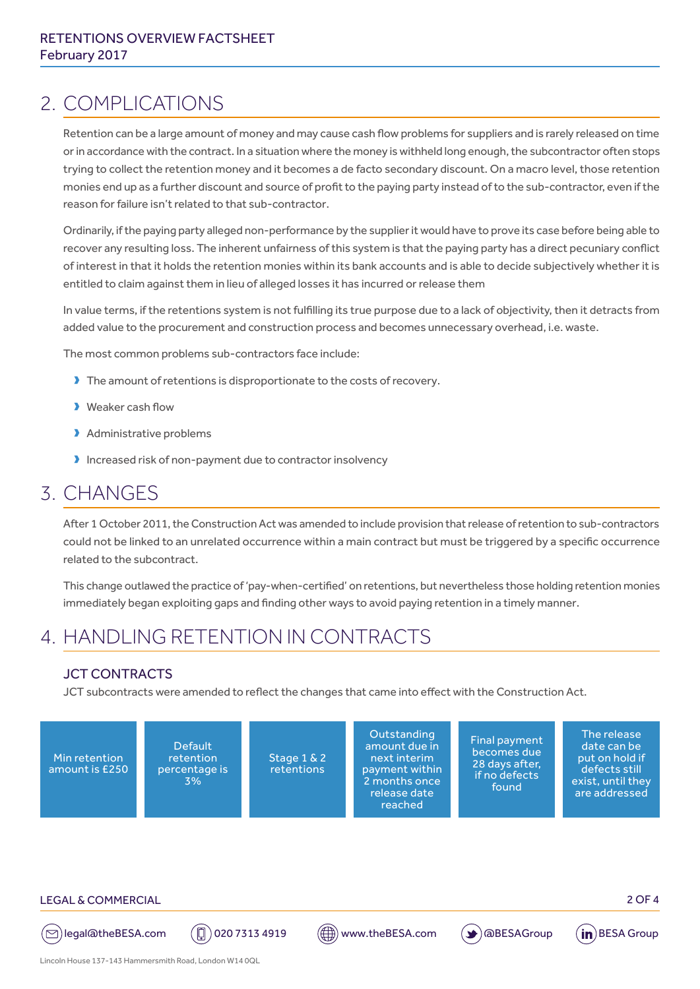# 2. COMPLICATIONS

Retention can be a large amount of money and may cause cash flow problems for suppliers and is rarely released on time or in accordance with the contract. In a situation where the money is withheld long enough, the subcontractor often stops trying to collect the retention money and it becomes a de facto secondary discount. On a macro level, those retention monies end up as a further discount and source of profit to the paying party instead of to the sub-contractor, even if the reason for failure isn't related to that sub-contractor.

Ordinarily, if the paying party alleged non-performance by the supplier it would have to prove its case before being able to recover any resulting loss. The inherent unfairness of this system is that the paying party has a direct pecuniary conflict of interest in that it holds the retention monies within its bank accounts and is able to decide subjectively whether it is entitled to claim against them in lieu of alleged losses it has incurred or release them

In value terms, if the retentions system is not fulfilling its true purpose due to a lack of objectivity, then it detracts from added value to the procurement and construction process and becomes unnecessary overhead, i.e. waste.

The most common problems sub-contractors face include:

- If The amount of retentions is disproportionate to the costs of recovery.
- **D** Weaker cash flow
- > Administrative problems
- $\blacktriangleright$  Increased risk of non-payment due to contractor insolvency

# 3. CHANGES

After 1 October 2011, the Construction Act was amended to include provision that release of retention to sub-contractors could not be linked to an unrelated occurrence within a main contract but must be triggered by a specific occurrence related to the subcontract.

This change outlawed the practice of 'pay-when-certified' on retentions, but nevertheless those holding retention monies immediately began exploiting gaps and finding other ways to avoid paying retention in a timely manner.

# 4. HANDLING RETENTION IN CONTRACTS

### JCT CONTRACTS

JCT subcontracts were amended to reflect the changes that came into effect with the Construction Act.





( $\odot$ )legal@theBESA.com ( $\Box$ ) 020 7313 4919 ( $\Box$ ) www.theBESA.com ( $\blacktriangleright$ ) @BESAGroup (in)BESA Group

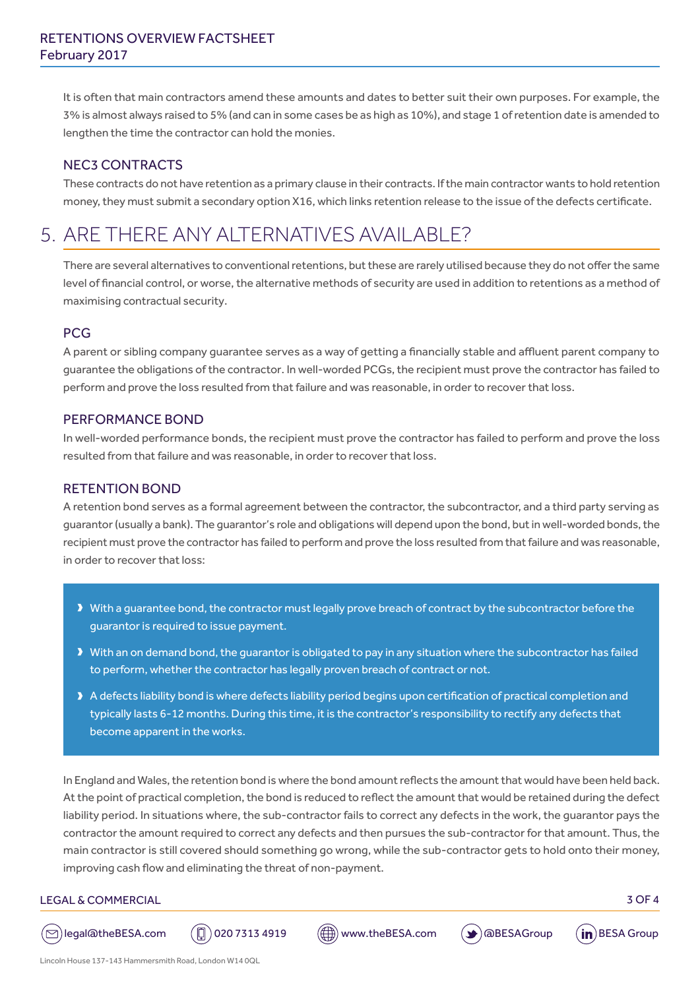It is often that main contractors amend these amounts and dates to better suit their own purposes. For example, the 3% is almost always raised to 5% (and can in some cases be as high as 10%), and stage 1 of retention date is amended to lengthen the time the contractor can hold the monies.

### NEC3 CONTRACTS

These contracts do not have retention as a primary clause in their contracts. If the main contractor wants to hold retention money, they must submit a secondary option X16, which links retention release to the issue of the defects certificate.

# 5. ARE THERE ANY ALTERNATIVES AVAILABLE?

There are several alternatives to conventional retentions, but these are rarely utilised because they do not offer the same level of financial control, or worse, the alternative methods of security are used in addition to retentions as a method of maximising contractual security.

## PCG

A parent or sibling company guarantee serves as a way of getting a financially stable and affluent parent company to guarantee the obligations of the contractor. In well-worded PCGs, the recipient must prove the contractor has failed to perform and prove the loss resulted from that failure and was reasonable, in order to recover that loss.

### PERFORMANCE BOND

In well-worded performance bonds, the recipient must prove the contractor has failed to perform and prove the loss resulted from that failure and was reasonable, in order to recover that loss.

### RETENTION BOND

A retention bond serves as a formal agreement between the contractor, the subcontractor, and a third party serving as guarantor (usually a bank). The guarantor's role and obligations will depend upon the bond, but in well-worded bonds, the recipient must prove the contractor has failed to perform and prove the loss resulted from that failure and was reasonable, in order to recover that loss:

- Dubth a guarantee bond, the contractor must legally prove breach of contract by the subcontractor before the guarantor is required to issue payment.
- I With an on demand bond, the guarantor is obligated to pay in any situation where the subcontractor has failed to perform, whether the contractor has legally proven breach of contract or not.
- > A defects liability bond is where defects liability period begins upon certification of practical completion and typically lasts 6-12 months. During this time, it is the contractor's responsibility to rectify any defects that become apparent in the works.

In England and Wales, the retention bond is where the bond amount reflects the amount that would have been held back. At the point of practical completion, the bond is reduced to reflect the amount that would be retained during the defect liability period. In situations where, the sub-contractor fails to correct any defects in the work, the guarantor pays the contractor the amount required to correct any defects and then pursues the sub-contractor for that amount. Thus, the main contractor is still covered should something go wrong, while the sub-contractor gets to hold onto their money, improving cash flow and eliminating the threat of non-payment.

#### LEGAL & COMMERCIAL 3 OF 4

( $\odot$ ) legal@theBESA.com ( $\circledR$ ) 020 7313 4919 ( $\circledR$ ) www.theBESA.com ( $\bullet$ ) @BESAGroup ( $\mathsf{in}$ ) BESA Group